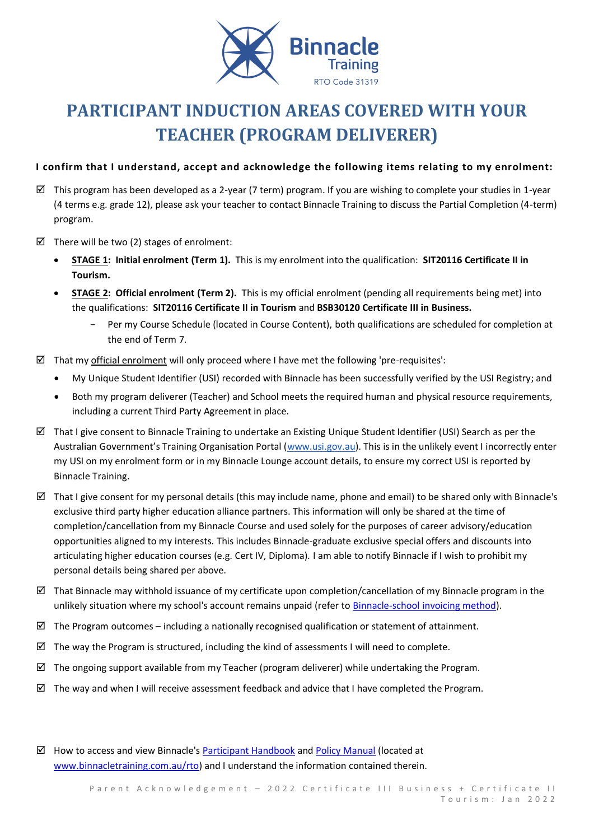

# **PARTICIPANT INDUCTION AREAS COVERED WITH YOUR TEACHER (PROGRAM DELIVERER)**

## **I confirm that I understand, accept and acknowledge the following items relating to my enrolment:**

- $\boxtimes$  This program has been developed as a 2-year (7 term) program. If you are wishing to complete your studies in 1-year (4 terms e.g. grade 12), please ask your teacher to contact Binnacle Training to discuss the Partial Completion (4-term) program.
- $\boxtimes$  There will be two (2) stages of enrolment:
	- **STAGE 1: Initial enrolment (Term 1).** This is my enrolment into the qualification: **SIT20116 Certificate II in Tourism.**
	- **STAGE 2: Official enrolment (Term 2).** This is my official enrolment (pending all requirements being met) into the qualifications: **SIT20116 Certificate II in Tourism** and **BSB30120 Certificate III in Business.**
		- Per my Course Schedule (located in Course Content), both qualifications are scheduled for completion at the end of Term 7.
- $\boxtimes$  That my official enrolment will only proceed where I have met the following 'pre-requisites':
	- My Unique Student Identifier (USI) recorded with Binnacle has been successfully verified by the USI Registry; and
	- Both my program deliverer (Teacher) and School meets the required human and physical resource requirements, including a current Third Party Agreement in place.
- $\boxtimes$  That I give consent to Binnacle Training to undertake an Existing Unique Student Identifier (USI) Search as per the Australian Government's Training Organisation Portal ([www.usi.gov.au\)](http://www.usi.gov.au/). This is in the unlikely event I incorrectly enter my USI on my enrolment form or in my Binnacle Lounge account details, to ensure my correct USI is reported by Binnacle Training.
- $\boxtimes$  That I give consent for my personal details (this may include name, phone and email) to be shared only with Binnacle's exclusive third party higher education alliance partners. This information will only be shared at the time of completion/cancellation from my Binnacle Course and used solely for the purposes of career advisory/education opportunities aligned to my interests. This includes Binnacle-graduate exclusive special offers and discounts into articulating higher education courses (e.g. Cert IV, Diploma). I am able to notify Binnacle if I wish to prohibit my personal details being shared per above.
- $\boxtimes$  That Binnacle may withhold issuance of my certificate upon completion/cancellation of my Binnacle program in the unlikely situation where my school's account remains unpaid (refer t[o Binnacle-school invoicing method\)](https://www.binnacletraining.com.au/for-schools/pricing/).
- $\boxtimes$  The Program outcomes including a nationally recognised qualification or statement of attainment.
- $\boxtimes$  The way the Program is structured, including the kind of assessments I will need to complete.
- $\boxtimes$  The ongoing support available from my Teacher (program deliverer) while undertaking the Program.
- $\boxtimes$  The way and when I will receive assessment feedback and advice that I have completed the Program.
- $\boxtimes$  How to access and view Binnacle's [Participant Handbook](http://www.binnacletraining.com.au/rto.php) an[d Policy Manual](http://www.binnacletraining.com.au/rto.php) (located at [www.binnacletraining.com.au/rto\)](http://www.binnacletraining.com.au/rto) and I understand the information contained therein.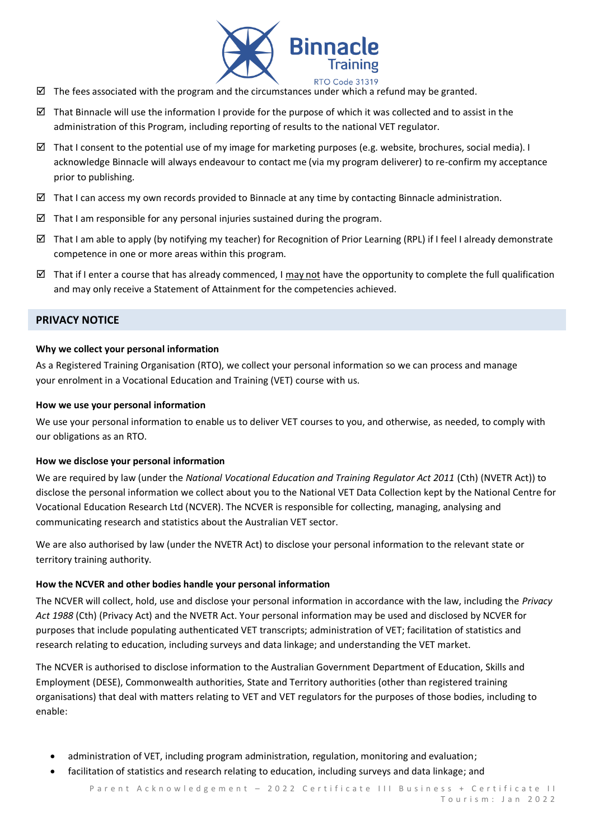

- $\boxtimes$  The fees associated with the program and the circumstances under which a refund may be granted.
- That Binnacle will use the information I provide for the purpose of which it was collected and to assist in the administration of this Program, including reporting of results to the national VET regulator.
- $\boxtimes$  That I consent to the potential use of my image for marketing purposes (e.g. website, brochures, social media). I acknowledge Binnacle will always endeavour to contact me (via my program deliverer) to re-confirm my acceptance prior to publishing.
- $\boxtimes$  That I can access my own records provided to Binnacle at any time by contacting Binnacle administration.
- $\boxtimes$  That I am responsible for any personal injuries sustained during the program.
- That I am able to apply (by notifying my teacher) for Recognition of Prior Learning (RPL) if I feel I already demonstrate competence in one or more areas within this program.
- That if I enter a course that has already commenced, I may not have the opportunity to complete the full qualification and may only receive a Statement of Attainment for the competencies achieved.

#### **PRIVACY NOTICE**

#### **Why we collect your personal information**

As a Registered Training Organisation (RTO), we collect your personal information so we can process and manage your enrolment in a Vocational Education and Training (VET) course with us.

#### **How we use your personal information**

We use your personal information to enable us to deliver VET courses to you, and otherwise, as needed, to comply with our obligations as an RTO.

## **How we disclose your personal information**

We are required by law (under the *National Vocational Education and Training Regulator Act 2011* (Cth) (NVETR Act)) to disclose the personal information we collect about you to the National VET Data Collection kept by the National Centre for Vocational Education Research Ltd (NCVER). The NCVER is responsible for collecting, managing, analysing and communicating research and statistics about the Australian VET sector.

We are also authorised by law (under the NVETR Act) to disclose your personal information to the relevant state or territory training authority.

#### **How the NCVER and other bodies handle your personal information**

The NCVER will collect, hold, use and disclose your personal information in accordance with the law, including the *Privacy Act 1988* (Cth) (Privacy Act) and the NVETR Act. Your personal information may be used and disclosed by NCVER for purposes that include populating authenticated VET transcripts; administration of VET; facilitation of statistics and research relating to education, including surveys and data linkage; and understanding the VET market.

The NCVER is authorised to disclose information to the Australian Government Department of Education, Skills and Employment (DESE), Commonwealth authorities, State and Territory authorities (other than registered training organisations) that deal with matters relating to VET and VET regulators for the purposes of those bodies, including to enable:

- administration of VET, including program administration, regulation, monitoring and evaluation;
- facilitation of statistics and research relating to education, including surveys and data linkage; and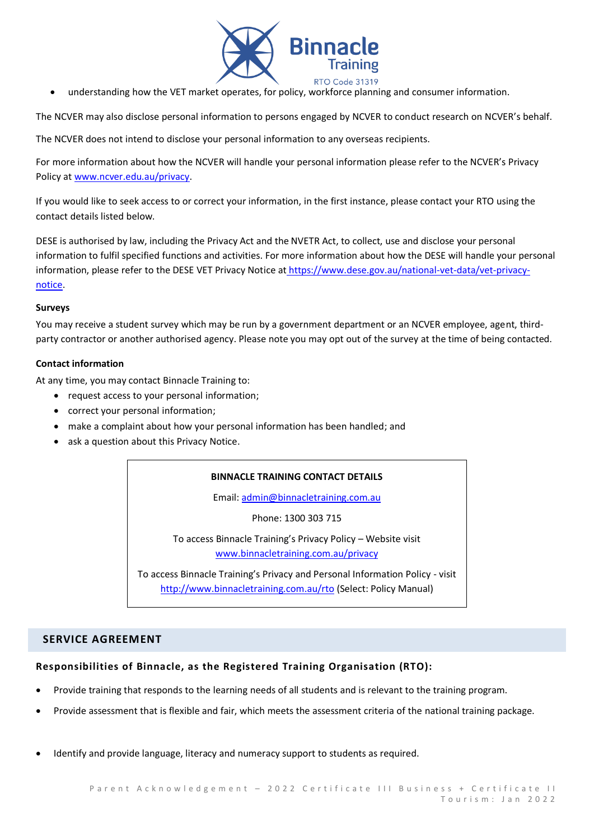

• understanding how the VET market operates, for policy, workforce planning and consumer information.

The NCVER may also disclose personal information to persons engaged by NCVER to conduct research on NCVER's behalf.

The NCVER does not intend to disclose your personal information to any overseas recipients.

For more information about how the NCVER will handle your personal information please refer to the NCVER's Privacy Policy a[t www.ncver.edu.au/privacy.](http://www.ncver.edu.au/privacy)

If you would like to seek access to or correct your information, in the first instance, please contact your RTO using the contact details listed below.

DESE is authorised by law, including the Privacy Act and the NVETR Act, to collect, use and disclose your personal information to fulfil specified functions and activities. For more information about how the DESE will handle your personal information, please refer to the DESE VET Privacy Notice at [https://www.dese.gov.au/national-vet-data/vet-privacy](https://www.dese.gov.au/national-vet-data/vet-privacy-notice)[notice.](https://www.dese.gov.au/national-vet-data/vet-privacy-notice)

#### **Surveys**

You may receive a student survey which may be run by a government department or an NCVER employee, agent, thirdparty contractor or another authorised agency. Please note you may opt out of the survey at the time of being contacted.

#### **Contact information**

At any time, you may contact Binnacle Training to:

- request access to your personal information;
- correct your personal information;
- make a complaint about how your personal information has been handled; and
- ask a question about this Privacy Notice.

## **BINNACLE TRAINING CONTACT DETAILS**

Email: [admin@binnacletraining.com.au](mailto:admin@binnacletraining.com.au)

Phone: 1300 303 715

To access Binnacle Training's Privacy Policy – Website visit [www.binnacletraining.com.au/privacy](http://www.binnacletraining.com.au/privacy)

To access Binnacle Training's Privacy and Personal Information Policy - visit <http://www.binnacletraining.com.au/rto> (Select: Policy Manual)

## **SERVICE AGREEMENT**

## **Responsibilities of Binnacle, as the Registered Training Organisation (RTO):**

- Provide training that responds to the learning needs of all students and is relevant to the training program.
- Provide assessment that is flexible and fair, which meets the assessment criteria of the national training package.
- Identify and provide language, literacy and numeracy support to students as required.